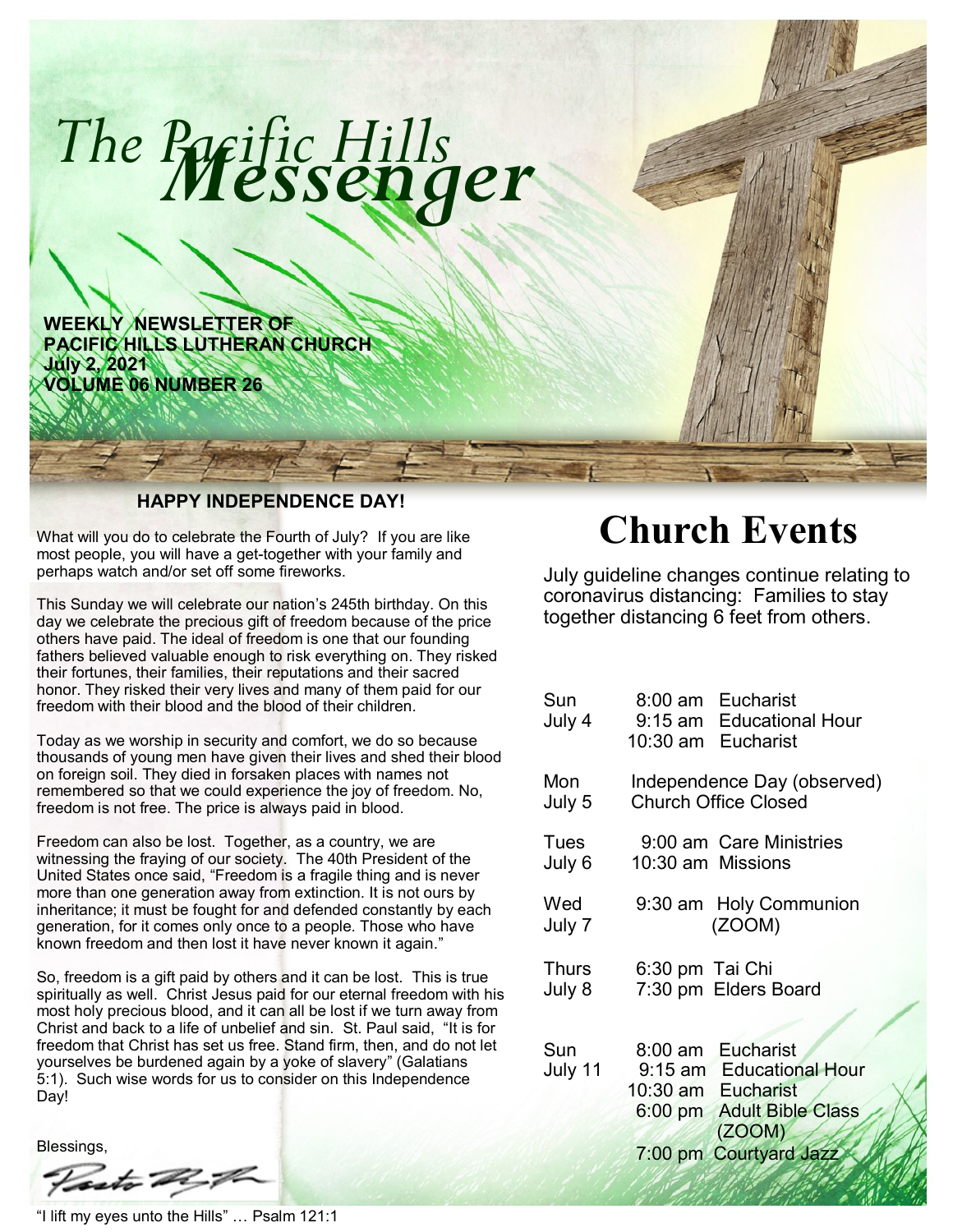

What will you do to celebrate the Fourth of July? If you are like most people, you will have a get-together with your family and perhaps watch and/or set off some fireworks.

This Sunday we will celebrate our nation's 245th birthday. On this day we celebrate the precious gift of freedom because of the price others have paid. The ideal of freedom is one that our founding fathers believed valuable enough to risk everything on. They risked their fortunes, their families, their reputations and their sacred honor. They risked their very lives and many of them paid for our freedom with their blood and the blood of their children.

Today as we worship in security and comfort, we do so because thousands of young men have given their lives and shed their blood on foreign soil. They died in forsaken places with names not remembered so that we could experience the joy of freedom. No, freedom is not free. The price is always paid in blood.

Freedom can also be lost. Together, as a country, we are witnessing the fraying of our society. The 40th President of the United States once said, "Freedom is a fragile thing and is never more than one generation away from extinction. It is not ours by inheritance; it must be fought for and defended constantly by each generation, for it comes only once to a people. Those who have known freedom and then lost it have never known it again."

So, freedom is a gift paid by others and it can be lost. This is true spiritually as well. Christ Jesus paid for our eternal freedom with his most holy precious blood, and it can all be lost if we turn away from Christ and back to a life of unbelief and sin. St. Paul said, "It is for freedom that Christ has set us free. Stand firm, then, and do not let yourselves be burdened again by a yoke of slavery" (Galatians 5:1). Such wise words for us to consider on this Independence Day!

**Blessings** 

- A-F

"I lift my eyes unto the Hills" … Psalm 121:1

# **Church Events**

July guideline changes continue relating to coronavirus distancing: Families to stay together distancing 6 feet from others.

| Sun<br>July 4   |                   | 8:00 am Eucharist<br>9:15 am Educational Hour<br>10:30 am Eucharist                                        |
|-----------------|-------------------|------------------------------------------------------------------------------------------------------------|
| Mon<br>July 5   |                   | Independence Day (observed)<br><b>Church Office Closed</b>                                                 |
| Tues<br>July 6  | 10:30 am Missions | 9:00 am Care Ministries                                                                                    |
| Wed<br>July 7   |                   | 9:30 am Holy Communion<br>(ZOOM)                                                                           |
| Thurs<br>July 8 | 6:30 pm Tai Chi   | 7:30 pm Elders Board                                                                                       |
| Sun<br>July 11  |                   | 8:00 am Eucharist<br>9:15 am Educational Hour<br>10:30 am Eucharist<br>6:00 pm Adult Bible Class<br>(ZOOM) |
|                 |                   | 7:00 pm Courtyard Jazz                                                                                     |

i